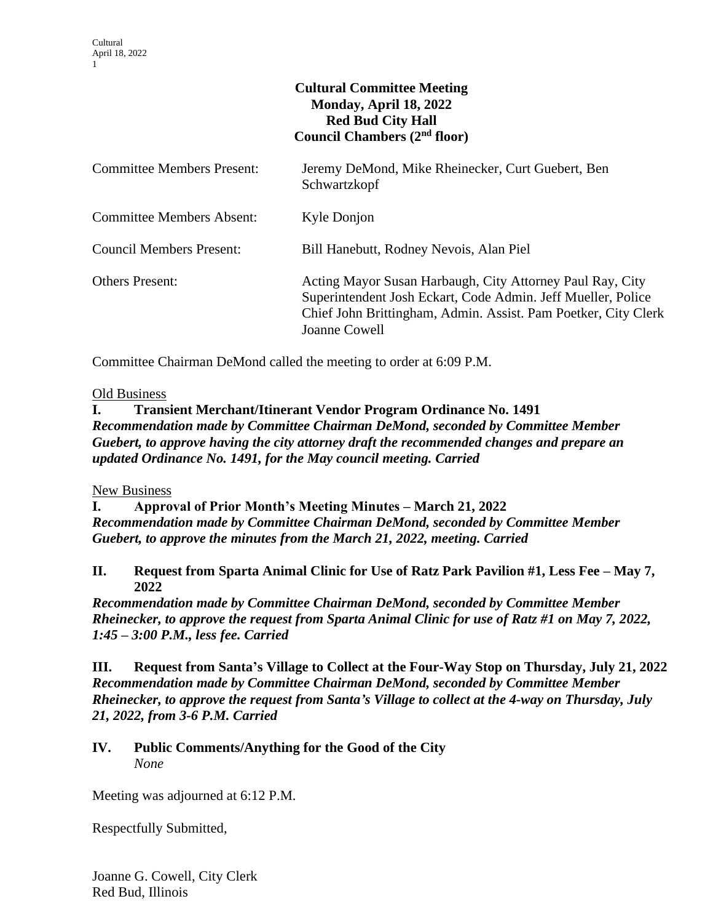# **Cultural Committee Meeting Monday, April 18, 2022 Red Bud City Hall Council Chambers (2nd floor)**

| <b>Committee Members Present:</b> | Jeremy DeMond, Mike Rheinecker, Curt Guebert, Ben<br>Schwartzkopf                                                                                                                                            |
|-----------------------------------|--------------------------------------------------------------------------------------------------------------------------------------------------------------------------------------------------------------|
| <b>Committee Members Absent:</b>  | Kyle Donjon                                                                                                                                                                                                  |
| <b>Council Members Present:</b>   | Bill Hanebutt, Rodney Nevois, Alan Piel                                                                                                                                                                      |
| <b>Others Present:</b>            | Acting Mayor Susan Harbaugh, City Attorney Paul Ray, City<br>Superintendent Josh Eckart, Code Admin. Jeff Mueller, Police<br>Chief John Brittingham, Admin. Assist. Pam Poetker, City Clerk<br>Joanne Cowell |

Committee Chairman DeMond called the meeting to order at 6:09 P.M.

#### Old Business

**I. Transient Merchant/Itinerant Vendor Program Ordinance No. 1491** *Recommendation made by Committee Chairman DeMond, seconded by Committee Member Guebert, to approve having the city attorney draft the recommended changes and prepare an updated Ordinance No. 1491, for the May council meeting. Carried*

### New Business

**I. Approval of Prior Month's Meeting Minutes – March 21, 2022** *Recommendation made by Committee Chairman DeMond, seconded by Committee Member Guebert, to approve the minutes from the March 21, 2022, meeting. Carried*

## **II. Request from Sparta Animal Clinic for Use of Ratz Park Pavilion #1, Less Fee – May 7, 2022**

*Recommendation made by Committee Chairman DeMond, seconded by Committee Member Rheinecker, to approve the request from Sparta Animal Clinic for use of Ratz #1 on May 7, 2022, 1:45 – 3:00 P.M., less fee. Carried*

**III. Request from Santa's Village to Collect at the Four-Way Stop on Thursday, July 21, 2022** *Recommendation made by Committee Chairman DeMond, seconded by Committee Member Rheinecker, to approve the request from Santa's Village to collect at the 4-way on Thursday, July 21, 2022, from 3-6 P.M. Carried*

## **IV. Public Comments/Anything for the Good of the City** *None*

Meeting was adjourned at 6:12 P.M.

Respectfully Submitted,

Joanne G. Cowell, City Clerk Red Bud, Illinois